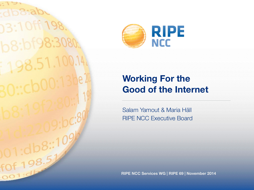$.10ff.19$  $0.8:10^{10}$  $+0f + 198.$ 



#### **Working For the Good of the Internet**

Salam Yamout & Maria Häll RIPE NCC Executive Board

**RIPE NCC Services WG | RIPE 69 | November 2014**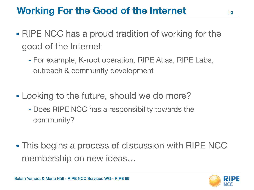## **Working For the Good of the Internet**

- RIPE NCC has a proud tradition of working for the good of the Internet
	- For example, K-root operation, RIPE Atlas, RIPE Labs, outreach & community development
- Looking to the future, should we do more?
	- Does RIPE NCC has a responsibility towards the community?
- This begins a process of discussion with RIPE NCC membership on new ideas…

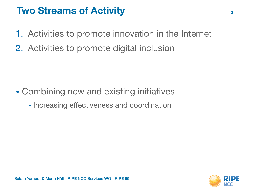### **Two Streams of Activity**

- 1. Activities to promote innovation in the Internet
- 2. Activities to promote digital inclusion

- Combining new and existing initiatives
	- Increasing effectiveness and coordination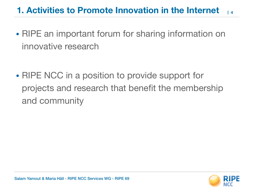#### **1. Activities to Promote Innovation in the Internet 4**

- RIPE an important forum for sharing information on innovative research
- RIPE NCC in a position to provide support for projects and research that benefit the membership and community

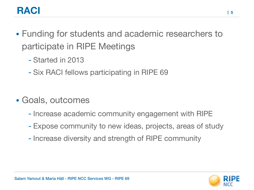## **RACI**

- Funding for students and academic researchers to participate in RIPE Meetings
	- Started in 2013
	- Six RACI fellows participating in RIPE 69
- Goals, outcomes
	- Increase academic community engagement with RIPE
	- Expose community to new ideas, projects, areas of study
	- Increase diversity and strength of RIPE community

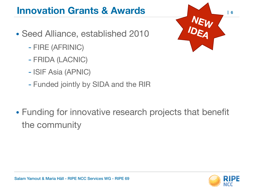## **Innovation Grants & Awards**

- Seed Alliance, established 2010
	- FIRE (AFRINIC)
	- FRIDA (LACNIC)
	- ISIF Asia (APNIC)
	- Funded jointly by SIDA and the RIR



• Funding for innovative research projects that benefit the community

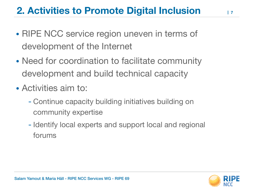# **2. Activities to Promote Digital Inclusion**

- RIPE NCC service region uneven in terms of development of the Internet
- Need for coordination to facilitate community development and build technical capacity
- Activities aim to:
	- Continue capacity building initiatives building on community expertise
	- Identify local experts and support local and regional forums

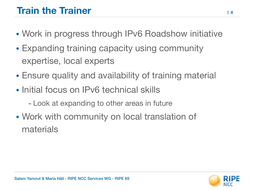# **Train the Trainer**

- Work in progress through IPv6 Roadshow initiative
- Expanding training capacity using community expertise, local experts
- Ensure quality and availability of training material
- Initial focus on IPv6 technical skills
	- Look at expanding to other areas in future
- Work with community on local translation of materials

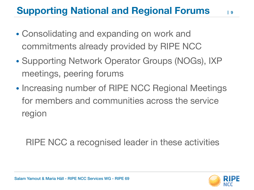# **Supporting National and Regional Forums**

- Consolidating and expanding on work and commitments already provided by RIPE NCC
- Supporting Network Operator Groups (NOGs), IXP meetings, peering forums
- Increasing number of RIPE NCC Regional Meetings for members and communities across the service region

RIPE NCC a recognised leader in these activities



**9**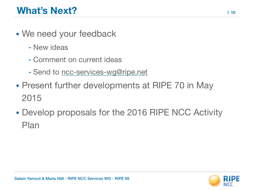- We need your feedback
	- New ideas
	- Comment on current ideas
	- Send to [ncc-services-wg@ripe.net](mailto:ncc-services-wg@ripe.net)
- Present further developments at RIPE 70 in May 2015
- Develop proposals for the 2016 RIPE NCC Activity Plan